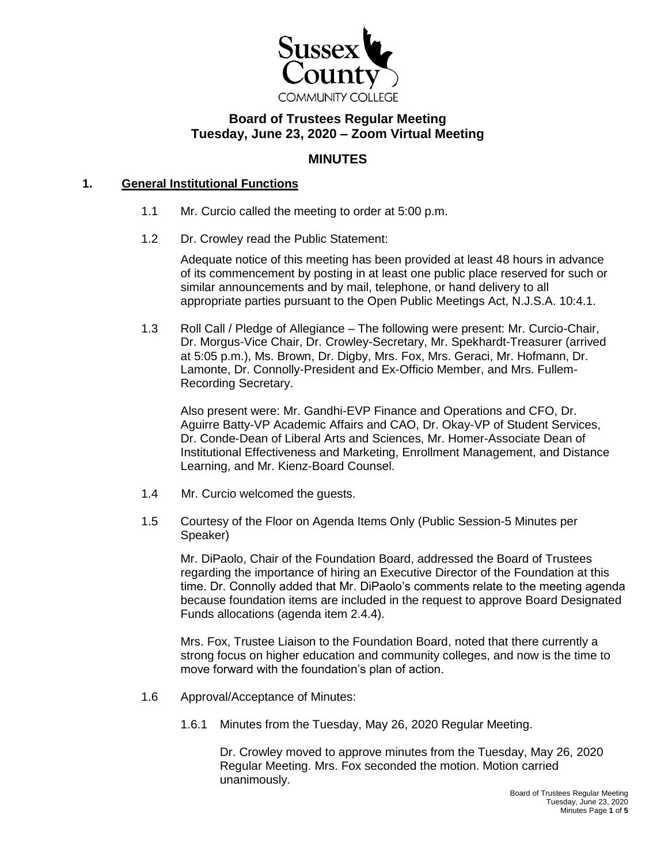

# **Board of Trustees Regular Meeting Tuesday, June 23, 2020 – Zoom Virtual Meeting**

## **MINUTES**

## **1. General Institutional Functions**

- 1.1 Mr. Curcio called the meeting to order at 5:00 p.m.
- 1.2 Dr. Crowley read the Public Statement:

Adequate notice of this meeting has been provided at least 48 hours in advance of its commencement by posting in at least one public place reserved for such or similar announcements and by mail, telephone, or hand delivery to all appropriate parties pursuant to the Open Public Meetings Act, N.J.S.A. 10:4.1.

1.3 Roll Call / Pledge of Allegiance – The following were present: Mr. Curcio-Chair, Dr. Morgus-Vice Chair, Dr. Crowley-Secretary, Mr. Spekhardt-Treasurer (arrived at 5:05 p.m.), Ms. Brown, Dr. Digby, Mrs. Fox, Mrs. Geraci, Mr. Hofmann, Dr. Lamonte, Dr. Connolly-President and Ex-Officio Member, and Mrs. Fullem-Recording Secretary.

Also present were: Mr. Gandhi-EVP Finance and Operations and CFO, Dr. Aguirre Batty-VP Academic Affairs and CAO, Dr. Okay-VP of Student Services, Dr. Conde-Dean of Liberal Arts and Sciences, Mr. Homer-Associate Dean of Institutional Effectiveness and Marketing, Enrollment Management, and Distance Learning, and Mr. Kienz-Board Counsel.

- 1.4 Mr. Curcio welcomed the guests.
- 1.5 Courtesy of the Floor on Agenda Items Only (Public Session-5 Minutes per Speaker)

Mr. DiPaolo, Chair of the Foundation Board, addressed the Board of Trustees regarding the importance of hiring an Executive Director of the Foundation at this time. Dr. Connolly added that Mr. DiPaolo's comments relate to the meeting agenda because foundation items are included in the request to approve Board Designated Funds allocations (agenda item 2.4.4).

Mrs. Fox, Trustee Liaison to the Foundation Board, noted that there currently a strong focus on higher education and community colleges, and now is the time to move forward with the foundation's plan of action.

- 1.6 Approval/Acceptance of Minutes:
	- 1.6.1 Minutes from the Tuesday, May 26, 2020 Regular Meeting.

Dr. Crowley moved to approve minutes from the Tuesday, May 26, 2020 Regular Meeting. Mrs. Fox seconded the motion. Motion carried unanimously.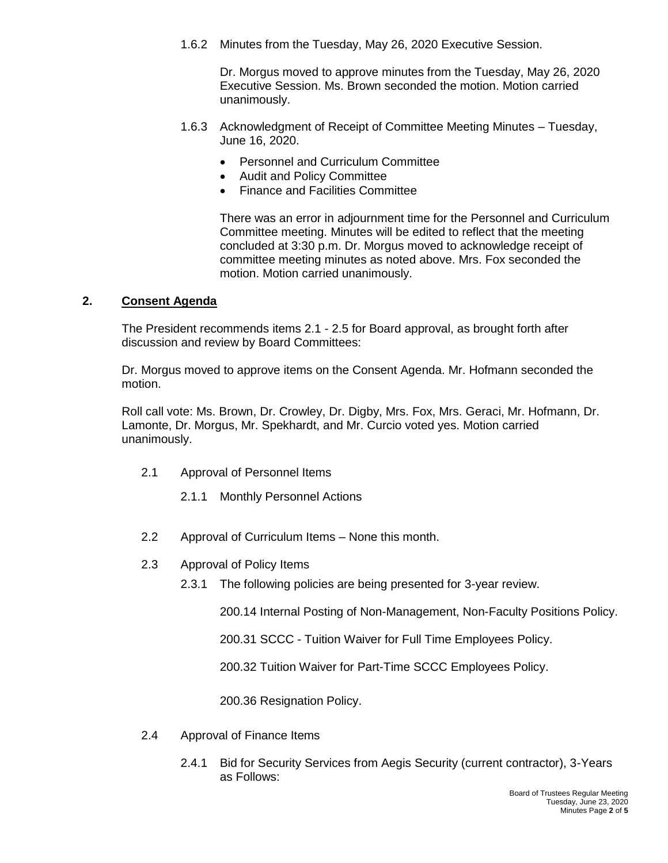1.6.2 Minutes from the Tuesday, May 26, 2020 Executive Session.

Dr. Morgus moved to approve minutes from the Tuesday, May 26, 2020 Executive Session. Ms. Brown seconded the motion. Motion carried unanimously.

- 1.6.3 Acknowledgment of Receipt of Committee Meeting Minutes Tuesday, June 16, 2020.
	- Personnel and Curriculum Committee
	- Audit and Policy Committee
	- Finance and Facilities Committee

There was an error in adjournment time for the Personnel and Curriculum Committee meeting. Minutes will be edited to reflect that the meeting concluded at 3:30 p.m. Dr. Morgus moved to acknowledge receipt of committee meeting minutes as noted above. Mrs. Fox seconded the motion. Motion carried unanimously.

## **2. Consent Agenda**

The President recommends items 2.1 - 2.5 for Board approval, as brought forth after discussion and review by Board Committees:

Dr. Morgus moved to approve items on the Consent Agenda. Mr. Hofmann seconded the motion.

Roll call vote: Ms. Brown, Dr. Crowley, Dr. Digby, Mrs. Fox, Mrs. Geraci, Mr. Hofmann, Dr. Lamonte, Dr. Morgus, Mr. Spekhardt, and Mr. Curcio voted yes. Motion carried unanimously.

- 2.1 Approval of Personnel Items
	- 2.1.1 Monthly Personnel Actions
- 2.2 Approval of Curriculum Items None this month.
- 2.3 Approval of Policy Items
	- 2.3.1 The following policies are being presented for 3-year review.

200.14 Internal Posting of Non-Management, Non-Faculty Positions Policy.

200.31 SCCC - Tuition Waiver for Full Time Employees Policy.

200.32 Tuition Waiver for Part-Time SCCC Employees Policy.

200.36 Resignation Policy.

- 2.4 Approval of Finance Items
	- 2.4.1 Bid for Security Services from Aegis Security (current contractor), 3-Years as Follows: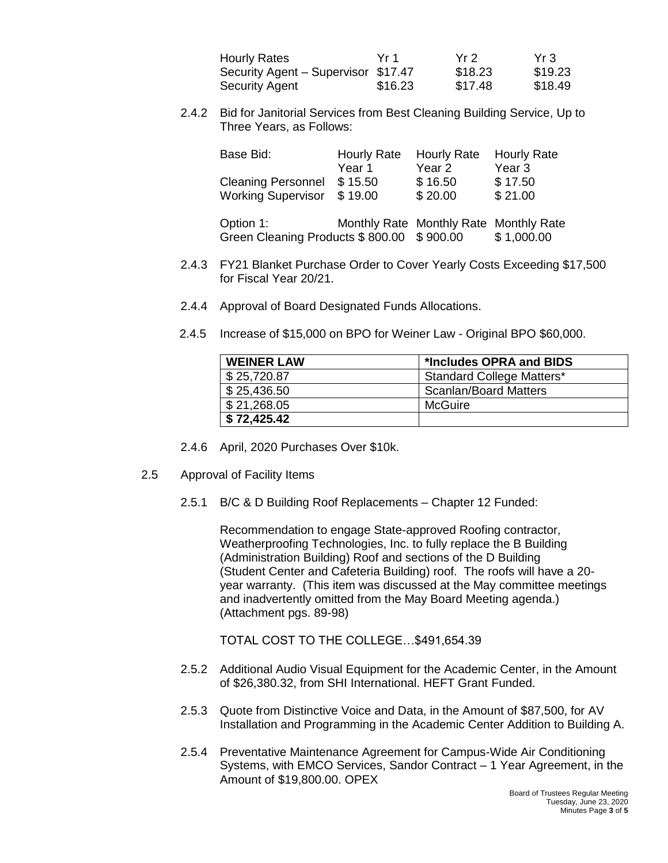| <b>Hourly Rates</b>                 | Yr 1    | Yr 2    | Yr 3    |
|-------------------------------------|---------|---------|---------|
| Security Agent - Supervisor \$17.47 |         | \$18.23 | \$19.23 |
| Security Agent                      | \$16.23 | \$17.48 | \$18.49 |

2.4.2 Bid for Janitorial Services from Best Cleaning Building Service, Up to Three Years, as Follows:

| Base Bid:                  | <b>Hourly Rate</b> | <b>Hourly Rate</b> | <b>Hourly Rate</b> |
|----------------------------|--------------------|--------------------|--------------------|
|                            | Year 1             | Year 2             | Year 3             |
| Cleaning Personnel \$15.50 |                    | \$16.50            | \$17.50            |
| Working Supervisor \$19.00 |                    | \$20.00            | \$21.00            |
|                            |                    |                    |                    |

| Option 1:                                 | Monthly Rate Monthly Rate Monthly Rate |            |
|-------------------------------------------|----------------------------------------|------------|
| Green Cleaning Products \$800.00 \$900.00 |                                        | \$1,000.00 |

- 2.4.3 FY21 Blanket Purchase Order to Cover Yearly Costs Exceeding \$17,500 for Fiscal Year 20/21.
- 2.4.4 Approval of Board Designated Funds Allocations.
- 2.4.5 Increase of \$15,000 on BPO for Weiner Law Original BPO \$60,000.

| <b>WEINER LAW</b> | *Includes OPRA and BIDS      |
|-------------------|------------------------------|
| \$25,720.87       | Standard College Matters*    |
| \$25,436.50       | <b>Scanlan/Board Matters</b> |
| \$21,268.05       | McGuire                      |
| \$72,425.42       |                              |

- 2.4.6 April, 2020 Purchases Over \$10k.
- 2.5 Approval of Facility Items
	- 2.5.1 B/C & D Building Roof Replacements Chapter 12 Funded:

Recommendation to engage State-approved Roofing contractor, Weatherproofing Technologies, Inc. to fully replace the B Building (Administration Building) Roof and sections of the D Building (Student Center and Cafeteria Building) roof. The roofs will have a 20 year warranty. (This item was discussed at the May committee meetings and inadvertently omitted from the May Board Meeting agenda.) (Attachment pgs. 89-98)

TOTAL COST TO THE COLLEGE…\$491,654.39

- 2.5.2 Additional Audio Visual Equipment for the Academic Center, in the Amount of \$26,380.32, from SHI International. HEFT Grant Funded.
- 2.5.3 Quote from Distinctive Voice and Data, in the Amount of \$87,500, for AV Installation and Programming in the Academic Center Addition to Building A.
- 2.5.4 Preventative Maintenance Agreement for Campus-Wide Air Conditioning Systems, with EMCO Services, Sandor Contract – 1 Year Agreement, in the Amount of \$19,800.00. OPEX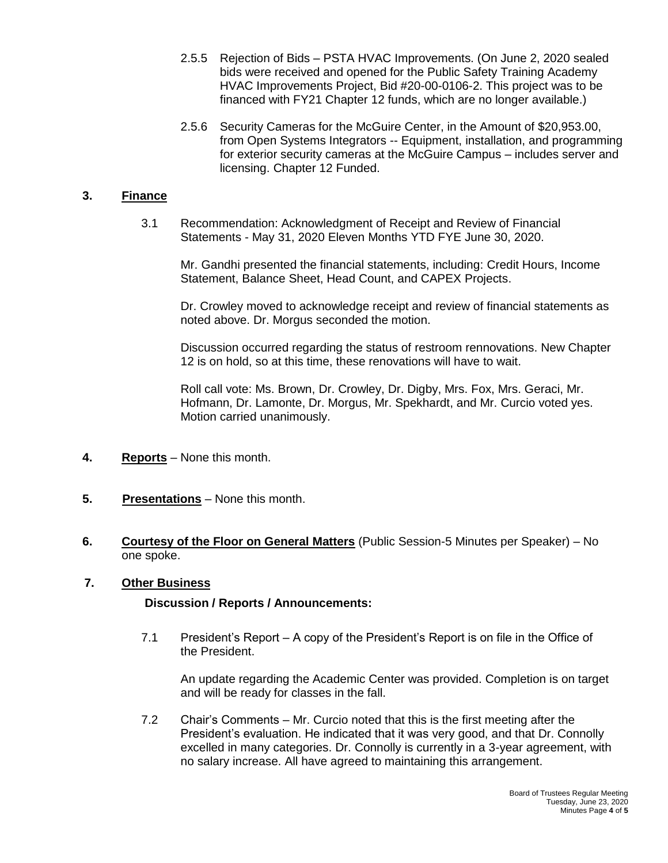- 2.5.5 Rejection of Bids PSTA HVAC Improvements. (On June 2, 2020 sealed bids were received and opened for the Public Safety Training Academy HVAC Improvements Project, Bid #20-00-0106-2. This project was to be financed with FY21 Chapter 12 funds, which are no longer available.)
- 2.5.6 Security Cameras for the McGuire Center, in the Amount of \$20,953.00, from Open Systems Integrators -- Equipment, installation, and programming for exterior security cameras at the McGuire Campus – includes server and licensing. Chapter 12 Funded.

## **3. Finance**

3.1 Recommendation: Acknowledgment of Receipt and Review of Financial Statements - May 31, 2020 Eleven Months YTD FYE June 30, 2020.

Mr. Gandhi presented the financial statements, including: Credit Hours, Income Statement, Balance Sheet, Head Count, and CAPEX Projects.

Dr. Crowley moved to acknowledge receipt and review of financial statements as noted above. Dr. Morgus seconded the motion.

Discussion occurred regarding the status of restroom rennovations. New Chapter 12 is on hold, so at this time, these renovations will have to wait.

Roll call vote: Ms. Brown, Dr. Crowley, Dr. Digby, Mrs. Fox, Mrs. Geraci, Mr. Hofmann, Dr. Lamonte, Dr. Morgus, Mr. Spekhardt, and Mr. Curcio voted yes. Motion carried unanimously.

- **4. Reports** None this month.
- **5. Presentations** None this month.
- **6. Courtesy of the Floor on General Matters** (Public Session-5 Minutes per Speaker) No one spoke.

#### **7. Other Business**

#### **Discussion / Reports / Announcements:**

7.1 President's Report – A copy of the President's Report is on file in the Office of the President.

An update regarding the Academic Center was provided. Completion is on target and will be ready for classes in the fall.

7.2 Chair's Comments – Mr. Curcio noted that this is the first meeting after the President's evaluation. He indicated that it was very good, and that Dr. Connolly excelled in many categories. Dr. Connolly is currently in a 3-year agreement, with no salary increase. All have agreed to maintaining this arrangement.